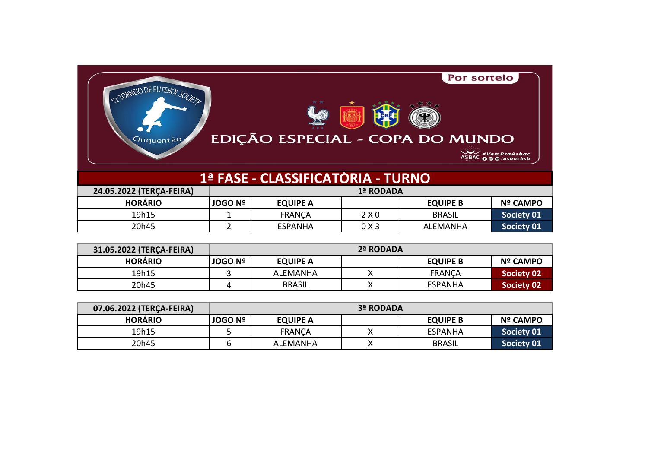| 2 TORNEIO DE FUTEBOL SOCIETY<br>EDIÇÃO ESPECIAL - COPA DO MUNDO<br>Cinquentão | Por sorteio        |
|-------------------------------------------------------------------------------|--------------------|
|                                                                               | ASBAC #VemPraAsbac |
| 1ª FASE - CLASSIFICATÓRIA - TURNO                                             |                    |

| 24.05.2022 (TERCA-FEIRA) | 1ª RODADA        |                 |       |                 |                 |
|--------------------------|------------------|-----------------|-------|-----------------|-----------------|
| <b>HORÁRIO</b>           | <b>JOGO Nº I</b> | <b>EQUIPE A</b> |       | <b>EQUIPE B</b> | <b>Nº CAMPO</b> |
| 19h15                    |                  | <b>FRANCA</b>   | 2X0   | <b>BRASIL</b>   | Society 01      |
| 20h45                    |                  | <b>ESPANHA</b>  | 0 X 3 | <b>ALEMANHA</b> | Society 01      |

| 31.05.2022 (TERCA-FEIRA) | 2ª RODADA        |                 |   |                 |                 |
|--------------------------|------------------|-----------------|---|-----------------|-----------------|
| <b>HORÁRIO</b>           | <b>JOGO Nº I</b> | <b>EQUIPE A</b> |   | <b>EQUIPE B</b> | <b>Nº CAMPO</b> |
| 19h15                    |                  | ALEMANHA        | v | <b>FRANCA</b>   | Society 02      |
| 20h45                    |                  | <b>BRASIL</b>   |   | <b>ESPANHA</b>  | Society 02      |

| 07.06.2022 (TERCA-FEIRA) | 3ª RODADA        |                 |   |                 |                   |
|--------------------------|------------------|-----------------|---|-----------------|-------------------|
| <b>HORÁRIO</b>           | <b>JOGO Nº I</b> | <b>EQUIPE A</b> |   | <b>EQUIPE B</b> | <b>Nº CAMPO</b>   |
| 19h15                    |                  | <b>FRANCA</b>   | v | <b>ESPANHA</b>  | Society 01        |
| 20h45                    |                  | ALEMANHA        |   | <b>BRASIL</b>   | <b>Society 01</b> |